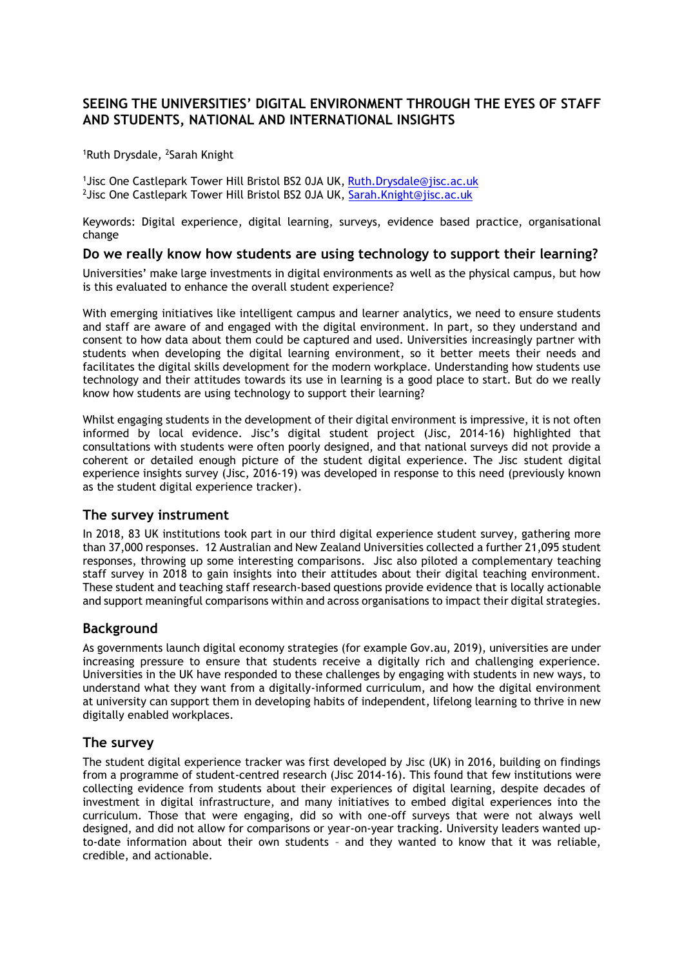# **SEEING THE UNIVERSITIES' DIGITAL ENVIRONMENT THROUGH THE EYES OF STAFF AND STUDENTS, NATIONAL AND INTERNATIONAL INSIGHTS**

<sup>1</sup>Ruth Drysdale, <sup>2</sup>Sarah Knight

<sup>1</sup> Jisc One Castlepark Tower Hill Bristol BS2 0JA UK, [Ruth.Drysdale@jisc.ac.uk](mailto:Ruth.Drysdale@jisc.ac.uk) <sup>2</sup>Jisc One Castlepark Tower Hill Bristol BS2 0JA UK, [Sarah.Knight@jisc.ac.uk](mailto:Sarah.Knight@jisc.ac.uk)

Keywords: Digital experience, digital learning, surveys, evidence based practice, organisational change

## **Do we really know how students are using technology to support their learning?**

Universities' make large investments in digital environments as well as the physical campus, but how is this evaluated to enhance the overall student experience?

With emerging initiatives like intelligent campus and learner analytics, we need to ensure students and staff are aware of and engaged with the digital environment. In part, so they understand and consent to how data about them could be captured and used. Universities increasingly partner with students when developing the digital learning environment, so it better meets their needs and facilitates the digital skills development for the modern workplace. Understanding how students use technology and their attitudes towards its use in learning is a good place to start. But do we really know how students are using technology to support their learning?

Whilst engaging students in the development of their digital environment is impressive, it is not often informed by local evidence. Jisc's digital student project (Jisc, 2014-16) highlighted that consultations with students were often poorly designed, and that national surveys did not provide a coherent or detailed enough picture of the student digital experience. The Jisc student digital experience insights survey (Jisc, 2016-19) was developed in response to this need (previously known as the student digital experience tracker).

### **The survey instrument**

In 2018, 83 UK institutions took part in our third digital experience student survey, gathering more than 37,000 responses. 12 Australian and New Zealand Universities collected a further 21,095 student responses, throwing up some interesting comparisons. Jisc also piloted a complementary teaching staff survey in 2018 to gain insights into their attitudes about their digital teaching environment. These student and teaching staff research-based questions provide evidence that is locally actionable and support meaningful comparisons within and across organisations to impact their digital strategies.

## **Background**

As governments launch digital economy strategies (for example Gov.au, 2019), universities are under increasing pressure to ensure that students receive a digitally rich and challenging experience. Universities in the UK have responded to these challenges by engaging with students in new ways, to understand what they want from a digitally-informed curriculum, and how the digital environment at university can support them in developing habits of independent, lifelong learning to thrive in new digitally enabled workplaces.

### **The survey**

The student digital experience tracker was first developed by Jisc (UK) in 2016, building on findings from a programme of student-centred research (Jisc 2014-16). This found that few institutions were collecting evidence from students about their experiences of digital learning, despite decades of investment in digital infrastructure, and many initiatives to embed digital experiences into the curriculum. Those that were engaging, did so with one-off surveys that were not always well designed, and did not allow for comparisons or year-on-year tracking. University leaders wanted upto-date information about their own students – and they wanted to know that it was reliable, credible, and actionable.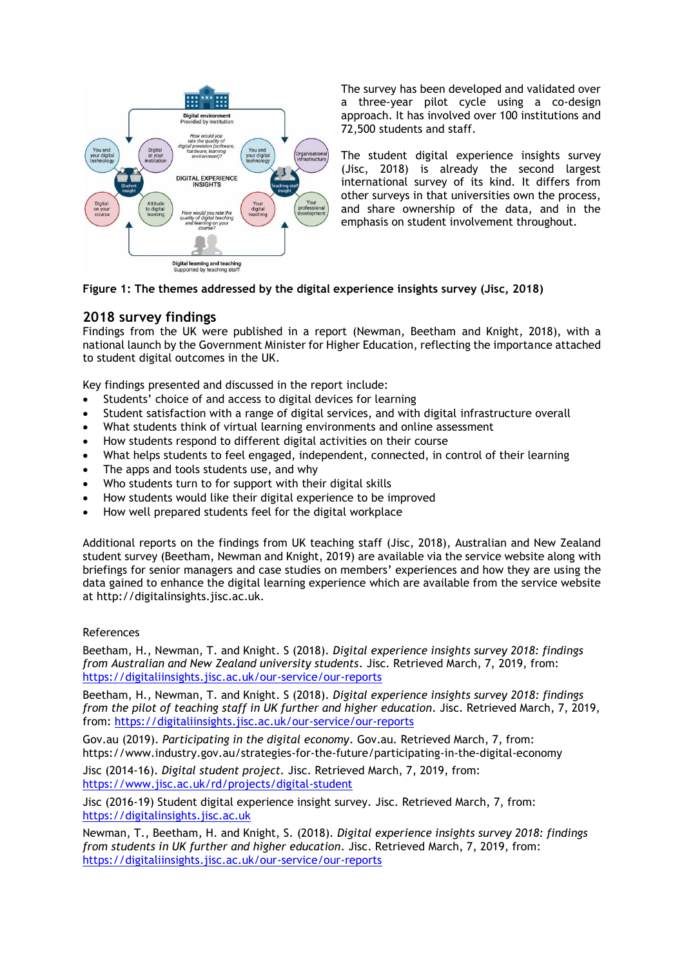

The survey has been developed and validated over a three-year pilot cycle using a co-design approach. It has involved over 100 institutions and 72,500 students and staff.

The student digital experience insights survey (Jisc, 2018) is already the second largest international survey of its kind. It differs from other surveys in that universities own the process, and share ownership of the data, and in the emphasis on student involvement throughout.

## **Figure 1: The themes addressed by the digital experience insights survey (Jisc, 2018)**

# **2018 survey findings**

Findings from the UK were published in a report (Newman, Beetham and Knight, 2018), with a national launch by the Government Minister for Higher Education, reflecting the importance attached to student digital outcomes in the UK.

Key findings presented and discussed in the report include:

- Students' choice of and access to digital devices for learning
- Student satisfaction with a range of digital services, and with digital infrastructure overall
- What students think of virtual learning environments and online assessment
- How students respond to different digital activities on their course
- What helps students to feel engaged, independent, connected, in control of their learning
- The apps and tools students use, and why
- Who students turn to for support with their digital skills
- How students would like their digital experience to be improved
- How well prepared students feel for the digital workplace

Additional reports on the findings from UK teaching staff (Jisc, 2018), Australian and New Zealand student survey (Beetham, Newman and Knight, 2019) are available via the service website along with briefings for senior managers and case studies on members' experiences and how they are using the data gained to enhance the digital learning experience which are available from the service website at http://digitalinsights.jisc.ac.uk.

### References

Beetham, H., Newman, T. and Knight. S (2018). *[Digital experience insights survey 2018: findings](http://repository.jisc.ac.uk/7202/1/digital-experience-insights-survey-anz-2018.pdf)  [from Australian and New Zealand university students.](http://repository.jisc.ac.uk/7202/1/digital-experience-insights-survey-anz-2018.pdf)* Jisc. Retrieved March, 7, 2019, from: <https://digitaliinsights.jisc.ac.uk/our-service/our-reports>

Beetham, H., Newman, T. and Knight. S (2018). *[Digital experience insights survey 2018: findings](http://repository.jisc.ac.uk/7132/1/30261h2_JISC_DEI_Report_2018_Teaching_HR_(Web).pdf)  [from the pilot of teaching staff in UK further and higher education.](http://repository.jisc.ac.uk/7132/1/30261h2_JISC_DEI_Report_2018_Teaching_HR_(Web).pdf)* Jisc. Retrieved March, 7, 2019, from: <https://digitaliinsights.jisc.ac.uk/our-service/our-reports>

Gov.au (2019). *Participating in the digital economy*. Gov.au. Retrieved March, 7, from: https://www.industry.gov.au/strategies-for-the-future/participating-in-the-digital-economy

Jisc (2014-16). *Digital student project.* Jisc. Retrieved March, 7, 2019, from: <https://www.jisc.ac.uk/rd/projects/digital-student>

Jisc (2016-19) Student digital experience insight survey. Jisc. Retrieved March, 7, from: [https://digitalinsights.jisc.ac.uk](https://digitalinsights.jisc.ac.uk/)

Newman, T., Beetham, H. and Knight, S. (2018). *[Digital experience insights survey 2018: findings](http://repository.jisc.ac.uk/6967/1/Digital_experience_insights_survey_2018.pdf)  [from students in UK further and higher education.](http://repository.jisc.ac.uk/6967/1/Digital_experience_insights_survey_2018.pdf)* Jisc. Retrieved March, 7, 2019, from: <https://digitaliinsights.jisc.ac.uk/our-service/our-reports>